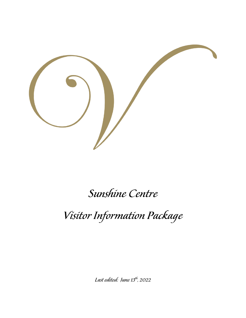

# Sunshine Centre

Visitor Information Package

Last edited: June 13<sup>th</sup>, 2022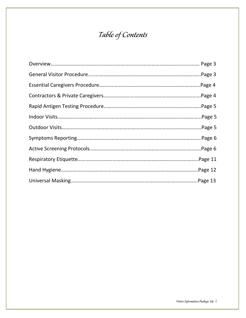## Table of Contents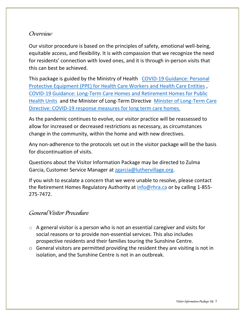#### Overview

Our visitor procedure is based on the principles of safety, emotional well-being, equitable access, and flexibility. It is with compassion that we recognize the need for residents' connection with loved ones, and it is through in-person visits that this can best be achieved.

This package is guided by the Ministry of Health [COVID-19 Guidance: Personal](https://can01.safelinks.protection.outlook.com/?url=https%3A%2F%2Forcaretirement.us2.list-manage.com%2Ftrack%2Fclick%3Fu%3D0f7b468f27a8cf1a453f09536%26id%3D9665fa69dc%26e%3D6c99157889&data=05%7C01%7Czgarcia%40luthervillage.org%7C44e53b705cf54ae88a3008da4d3f30ef%7C96797aa196d94f7382ec292b3db2fc0c%7C0%7C0%7C637907231033148755%7CUnknown%7CTWFpbGZsb3d8eyJWIjoiMC4wLjAwMDAiLCJQIjoiV2luMzIiLCJBTiI6Ik1haWwiLCJXVCI6Mn0%3D%7C3000%7C%7C%7C&sdata=VWrQ4EappSTVgpJdr1DDssjAqxUReTGwoc4s0O8y0lI%3D&reserved=0)  [Protective Equipment \(PPE\) for Health Care Workers and Health Care Entities](https://can01.safelinks.protection.outlook.com/?url=https%3A%2F%2Forcaretirement.us2.list-manage.com%2Ftrack%2Fclick%3Fu%3D0f7b468f27a8cf1a453f09536%26id%3D9665fa69dc%26e%3D6c99157889&data=05%7C01%7Czgarcia%40luthervillage.org%7C44e53b705cf54ae88a3008da4d3f30ef%7C96797aa196d94f7382ec292b3db2fc0c%7C0%7C0%7C637907231033148755%7CUnknown%7CTWFpbGZsb3d8eyJWIjoiMC4wLjAwMDAiLCJQIjoiV2luMzIiLCJBTiI6Ik1haWwiLCJXVCI6Mn0%3D%7C3000%7C%7C%7C&sdata=VWrQ4EappSTVgpJdr1DDssjAqxUReTGwoc4s0O8y0lI%3D&reserved=0) , [COVID-19 Guidance: Long-Term Care Homes and Retirement Homes for Public](https://can01.safelinks.protection.outlook.com/?url=https%3A%2F%2Forcaretirement.us2.list-manage.com%2Ftrack%2Fclick%3Fu%3D0f7b468f27a8cf1a453f09536%26id%3De643bec430%26e%3D6c99157889&data=05%7C01%7Czgarcia%40luthervillage.org%7C44e53b705cf54ae88a3008da4d3f30ef%7C96797aa196d94f7382ec292b3db2fc0c%7C0%7C0%7C637907231033304956%7CUnknown%7CTWFpbGZsb3d8eyJWIjoiMC4wLjAwMDAiLCJQIjoiV2luMzIiLCJBTiI6Ik1haWwiLCJXVCI6Mn0%3D%7C3000%7C%7C%7C&sdata=9i%2FuiszLz%2FBYhIfngbz%2BhS7qKnXHl3gVjxRaX7bAwhU%3D&reserved=0)  [Health Units](https://can01.safelinks.protection.outlook.com/?url=https%3A%2F%2Forcaretirement.us2.list-manage.com%2Ftrack%2Fclick%3Fu%3D0f7b468f27a8cf1a453f09536%26id%3De643bec430%26e%3D6c99157889&data=05%7C01%7Czgarcia%40luthervillage.org%7C44e53b705cf54ae88a3008da4d3f30ef%7C96797aa196d94f7382ec292b3db2fc0c%7C0%7C0%7C637907231033304956%7CUnknown%7CTWFpbGZsb3d8eyJWIjoiMC4wLjAwMDAiLCJQIjoiV2luMzIiLCJBTiI6Ik1haWwiLCJXVCI6Mn0%3D%7C3000%7C%7C%7C&sdata=9i%2FuiszLz%2FBYhIfngbz%2BhS7qKnXHl3gVjxRaX7bAwhU%3D&reserved=0) and the Minister of Long-Term Directive [Minister of Long-Term Care](https://can01.safelinks.protection.outlook.com/?url=https%3A%2F%2Forcaretirement.us2.list-manage.com%2Ftrack%2Fclick%3Fu%3D0f7b468f27a8cf1a453f09536%26id%3Def55a37857%26e%3D6c99157889&data=05%7C01%7Czgarcia%40luthervillage.org%7C44e53b705cf54ae88a3008da4d3f30ef%7C96797aa196d94f7382ec292b3db2fc0c%7C0%7C0%7C637907231033148755%7CUnknown%7CTWFpbGZsb3d8eyJWIjoiMC4wLjAwMDAiLCJQIjoiV2luMzIiLCJBTiI6Ik1haWwiLCJXVCI6Mn0%3D%7C3000%7C%7C%7C&sdata=EFyN9dZJwLglURXLUG65RUX9GhJUvfqX%2FaC5PfMnGLA%3D&reserved=0)  [Directive: COVID-19 response measures for long term care homes](https://can01.safelinks.protection.outlook.com/?url=https%3A%2F%2Forcaretirement.us2.list-manage.com%2Ftrack%2Fclick%3Fu%3D0f7b468f27a8cf1a453f09536%26id%3Def55a37857%26e%3D6c99157889&data=05%7C01%7Czgarcia%40luthervillage.org%7C44e53b705cf54ae88a3008da4d3f30ef%7C96797aa196d94f7382ec292b3db2fc0c%7C0%7C0%7C637907231033148755%7CUnknown%7CTWFpbGZsb3d8eyJWIjoiMC4wLjAwMDAiLCJQIjoiV2luMzIiLCJBTiI6Ik1haWwiLCJXVCI6Mn0%3D%7C3000%7C%7C%7C&sdata=EFyN9dZJwLglURXLUG65RUX9GhJUvfqX%2FaC5PfMnGLA%3D&reserved=0),

As the pandemic continues to evolve, our visitor practice will be reassessed to allow for increased or decreased restrictions as necessary, as circumstances change in the community, within the home and with new directives.

Any non-adherence to the protocols set out in the visitor package will be the basis for discontinuation of visits.

Questions about the Visitor Information Package may be directed to Zulma Garcia, Customer Service Manager at [zgarcia@luthervillage.org.](mailto:zgarcia@luthervillage.org)

If you wish to escalate a concern that we were unable to resolve, please contact the Retirement Homes Regulatory Authority at *info@rhra.ca* or by calling 1-855-275-7472.

#### **General Visitor Procedure**

- $\circ$  A general visitor is a person who is not an essential caregiver and visits for social reasons or to provide non-essential services. This also includes prospective residents and their families touring the Sunshine Centre.
- o General visitors are permitted providing the resident they are visiting is not in isolation, and the Sunshine Centre is not in an outbreak.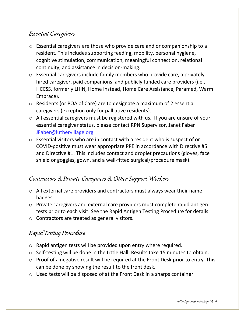### **Essential Caregivers**

- o Essential caregivers are those who provide care and or companionship to a resident. This includes supporting feeding, mobility, personal hygiene, cognitive stimulation, communication, meaningful connection, relational continuity, and assistance in decision-making.
- o Essential caregivers include family members who provide care, a privately hired caregiver, paid companions, and publicly funded care providers (i.e., HCCSS, formerly LHIN, Home Instead, Home Care Assistance, Paramed, Warm Embrace).
- o Residents (or POA of Care) are to designate a maximum of 2 essential caregivers (exception only for palliative residents).
- o All essential caregivers must be registered with us. If you are unsure of your essential caregiver status, please contact RPN Supervisor, Janet Faber [JFaber@luthervillage.org.](mailto:JFaber@luthervillage.org)
- o Essential visitors who are in contact with a resident who is suspect of or COVID-positive must wear appropriate PPE in accordance with Directive #5 and Directive #1. This includes contact and droplet precautions (gloves, face shield or goggles, gown, and a well-fitted surgical/procedure mask).

#### Contractors & Private Caregivers & Other Support Workers

- o All external care providers and contractors must always wear their name badges.
- o Private caregivers and external care providers must complete rapid antigen tests prior to each visit. See the Rapid Antigen Testing Procedure for details.
- o Contractors are treated as general visitors.

## Rapid Testing Procedure

- o Rapid antigen tests will be provided upon entry where required.
- o Self-testing will be done in the Little Hall. Results take 15 minutes to obtain.
- o Proof of a negative result will be required at the Front Desk prior to entry. This can be done by showing the result to the front desk.
- o Used tests will be disposed of at the Front Desk in a sharps container.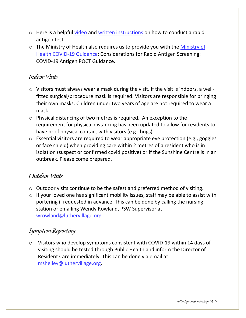- o Here is a helpful [video](https://can01.safelinks.protection.outlook.com/?url=https%3A%2F%2Fwww.youtube.com%2Fwatch%3Fv%3DHfCdS78Roc0&data=04%7C01%7Cmfislova%40luthervillage.org%7Cf372da0b72f14e21619b08d9c0098bcd%7C96797aa196d94f7382ec292b3db2fc0c%7C0%7C0%7C637751969494208297%7CUnknown%7CTWFpbGZsb3d8eyJWIjoiMC4wLjAwMDAiLCJQIjoiV2luMzIiLCJBTiI6Ik1haWwiLCJXVCI6Mn0%3D%7C3000&sdata=%2FmMPpctStGFur0%2BJI7Cb9jiLw%2BxCj8e%2Fkcw2WQqax7s%3D&reserved=0) and [written instructions](https://can01.safelinks.protection.outlook.com/?url=https%3A%2F%2Fcdn.shopify.com%2Fs%2Ffiles%2F1%2F0369%2F2052%2F4937%2Ffiles%2FEN_FR_COV-19C25_Rapid_Antigen_QRI.pdf%3Fv%3D1633630871&data=04%7C01%7Cmfislova%40luthervillage.org%7Cf372da0b72f14e21619b08d9c0098bcd%7C96797aa196d94f7382ec292b3db2fc0c%7C0%7C0%7C637751969494218282%7CUnknown%7CTWFpbGZsb3d8eyJWIjoiMC4wLjAwMDAiLCJQIjoiV2luMzIiLCJBTiI6Ik1haWwiLCJXVCI6Mn0%3D%7C3000&sdata=1P5Ery5yH7pC9ZrriQha%2FVzEwGaMk%2BnTJGscx3mqeu4%3D&reserved=0) on how to conduct a rapid antigen test.
- $\circ$  The [Ministry of](https://lutherwood.sharepoint.com/sites/LutherVillageonthePark-VillageLeadership/Shared%20Documents/Village%20Leadership/Outbreak%20Materials/COVID-19/Visitor%20Information%20Package/Ministry%20of%20Health%20COVID-19%20Guidance) Health also requires us to provide you with the Ministry of [Health COVID-19 Guidance:](https://lutherwood.sharepoint.com/sites/LutherVillageonthePark-VillageLeadership/Shared%20Documents/Village%20Leadership/Outbreak%20Materials/COVID-19/Visitor%20Information%20Package/Ministry%20of%20Health%20COVID-19%20Guidance) Considerations for Rapid Antigen Screening: COVID-19 Antigen POCT Guidance.

#### **Indoor Visits**

- o Visitors must always wear a mask during the visit. If the visit is indoors, a wellfitted surgical/procedure mask is required. Visitors are responsible for bringing their own masks. Children under two years of age are not required to wear a mask.
- o Physical distancing of two metres is required. An exception to the requirement for physical distancing has been updated to allow for residents to have brief physical contact with visitors (e.g., hugs).
- o Essential visitors are required to wear appropriate eye protection (e.g., goggles or face shield) when providing care within 2 metres of a resident who is in isolation (suspect or confirmed covid positive) or if the Sunshine Centre is in an outbreak. Please come prepared.

#### Outdoor Visits

- o Outdoor visits continue to be the safest and preferred method of visiting.
- $\circ$  If your loved one has significant mobility issues, staff may be able to assist with portering if requested in advance. This can be done by calling the nursing station or emailing Wendy Rowland, PSW Supervisor at [wrowland@luthervillage.org.](mailto:wrowland@luthervillage.org)

#### Symptom Reporting

o Visitors who develop symptoms consistent with COVID-19 within 14 days of visiting should be tested through Public Health and inform the Director of Resident Care immediately. This can be done via email at [mshelley@luthervillage.org.](mailto:mshelley@luthervillage.org)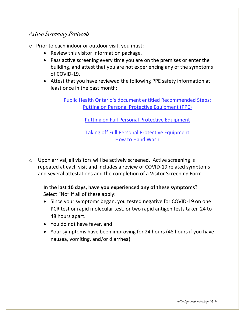#### Active Screening Protocols

- o Prior to each indoor or outdoor visit, you must:
	- Review this visitor information package.
	- Pass active screening every time you are on the premises or enter the building, and attest that you are not experiencing any of the symptoms of COVID-19.
	- Attest that you have reviewed the following PPE safety information at least once in the past month:

[Public Health Ontario's document entitled Recommended Steps:](https://www.publichealthontario.ca/-/media/documents/ncov/ipac/ppe-recommended-steps.pdf?la=en)  [Putting on Personal Protective Equipment \(PPE\)](https://www.publichealthontario.ca/-/media/documents/ncov/ipac/ppe-recommended-steps.pdf?la=en)

[Putting on Full Personal Protective Equipment](https://www.publichealthontario.ca/en/videos/ipac-fullppe-on)

[Taking off Full Personal Protective Equipment](https://www.publichealthontario.ca/en/videos/ipac-maskeyes-off) [How to Hand Wash](https://www.publichealthontario.ca/en/health-topics/infection-prevention-control/hand-hygiene/jcyh-videos)

o Upon arrival, all visitors will be actively screened. Active screening is repeated at each visit and includes a review of COVID-19 related symptoms and several attestations and the completion of a Visitor Screening Form.

**In the last 10 days, have you experienced any of these symptoms?**  Select "No" if all of these apply:

- Since your symptoms began, you tested negative for COVID-19 on one PCR test or rapid molecular test, or two rapid antigen tests taken 24 to 48 hours apart.
- You do not have fever, and
- Your symptoms have been improving for 24 hours (48 hours if you have nausea, vomiting, and/or diarrhea)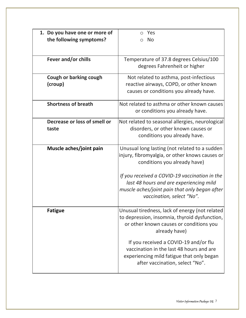| 1. Do you have one or more of | Yes                                             |
|-------------------------------|-------------------------------------------------|
| the following symptoms?       | <b>No</b><br>∩                                  |
|                               |                                                 |
|                               |                                                 |
| Fever and/or chills           | Temperature of 37.8 degrees Celsius/100         |
|                               | degrees Fahrenheit or higher                    |
| Cough or barking cough        | Not related to asthma, post-infectious          |
| (croup)                       | reactive airways, COPD, or other known          |
|                               |                                                 |
|                               | causes or conditions you already have.          |
| <b>Shortness of breath</b>    | Not related to asthma or other known causes     |
|                               | or conditions you already have.                 |
|                               |                                                 |
| Decrease or loss of smell or  | Not related to seasonal allergies, neurological |
| taste                         | disorders, or other known causes or             |
|                               | conditions you already have.                    |
| Muscle aches/joint pain       | Unusual long lasting (not related to a sudden   |
|                               | injury, fibromyalgia, or other knows causes or  |
|                               | conditions you already have)                    |
|                               |                                                 |
|                               | If you received a COVID-19 vaccination in the   |
|                               | last 48 hours and are experiencing mild         |
|                               | muscle aches/joint pain that only began after   |
|                               | vaccination, select "No".                       |
|                               |                                                 |
| <b>Fatigue</b>                | Unusual tiredness, lack of energy (not related  |
|                               | to depression, insomnia, thyroid dysfunction,   |
|                               | or other known causes or conditions you         |
|                               | already have)                                   |
|                               |                                                 |
|                               | If you received a COVID-19 and/or flu           |
|                               | vaccination in the last 48 hours and are        |
|                               | experiencing mild fatigue that only began       |
|                               | after vaccination, select "No".                 |
|                               |                                                 |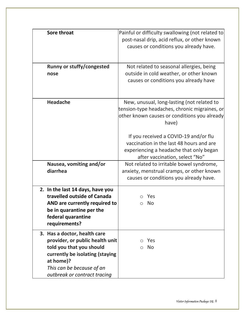| Sore throat                                                                                                                                                                                              | Painful or difficulty swallowing (not related to<br>post-nasal drip, acid reflux, or other known<br>causes or conditions you already have.                     |
|----------------------------------------------------------------------------------------------------------------------------------------------------------------------------------------------------------|----------------------------------------------------------------------------------------------------------------------------------------------------------------|
| <b>Runny or stuffy/congested</b><br>nose                                                                                                                                                                 | Not related to seasonal allergies, being<br>outside in cold weather, or other known<br>causes or conditions you already have                                   |
| <b>Headache</b>                                                                                                                                                                                          | New, unusual, long-lasting (not related to<br>tension-type headaches, chronic migraines, or<br>other known causes or conditions you already<br>have)           |
|                                                                                                                                                                                                          | If you received a COVID-19 and/or flu<br>vaccination in the last 48 hours and are<br>experiencing a headache that only began<br>after vaccination, select "No" |
| Nausea, vomiting and/or<br>diarrhea                                                                                                                                                                      | Not related to irritable bowel syndrome,<br>anxiety, menstrual cramps, or other known<br>causes or conditions you already have.                                |
| 2. In the last 14 days, have you<br>travelled outside of Canada<br>AND are currently required to<br>be in quarantine per the<br>federal quarantine<br>requirements?                                      | Yes<br><b>No</b>                                                                                                                                               |
| 3. Has a doctor, health care<br>provider, or public health unit<br>told you that you should<br>currently be isolating (staying<br>at home)?<br>This can be because of an<br>outbreak or contract tracing | Yes<br><b>No</b><br>$\bigcirc$                                                                                                                                 |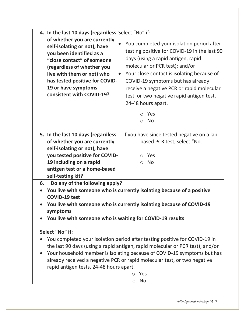| 4. In the last 10 days (regardless Select "No" if:<br>of whether you are currently<br>self-isolating or not), have<br>you been identified as a<br>"close contact" of someone<br>(regardless of whether you<br>live with them or not) who<br>has tested positive for COVID-<br>19 or have symptoms<br>consistent with COVID-19?                                                                                                                                                                                                                                                                                                                                              | You completed your isolation period after<br>testing positive for COVID-19 in the last 90<br>days (using a rapid antigen, rapid<br>molecular or PCR test); and/or<br>Your close contact is isolating because of<br>COVID-19 symptoms but has already<br>receive a negative PCR or rapid molecular<br>test, or two negative rapid antigen test,<br>24-48 hours apart.<br>$\circ$ Yes<br>No<br>$\circ$ |  |
|-----------------------------------------------------------------------------------------------------------------------------------------------------------------------------------------------------------------------------------------------------------------------------------------------------------------------------------------------------------------------------------------------------------------------------------------------------------------------------------------------------------------------------------------------------------------------------------------------------------------------------------------------------------------------------|------------------------------------------------------------------------------------------------------------------------------------------------------------------------------------------------------------------------------------------------------------------------------------------------------------------------------------------------------------------------------------------------------|--|
| 5. In the last 10 days (regardless<br>of whether you are currently<br>self-isolating or not), have<br>you tested positive for COVID-<br>19 including on a rapid<br>antigen test or a home-based<br>self-testing kit?                                                                                                                                                                                                                                                                                                                                                                                                                                                        | If you have since tested negative on a lab-<br>based PCR test, select "No.<br>o Yes<br><b>No</b><br>$\bigcirc$                                                                                                                                                                                                                                                                                       |  |
| Do any of the following apply?<br>6.<br>You live with someone who is currently isolating because of a positive<br><b>COVID-19 test</b><br>You live with someone who is currently isolating because of COVID-19<br>symptoms<br>You live with someone who is waiting for COVID-19 results<br>Select "No" if:<br>You completed your isolation period after testing positive for COVID-19 in<br>the last 90 days (using a rapid antigen, rapid molecular or PCR test); and/or<br>Your household member is isolating because of COVID-19 symptoms but has<br>already received a negative PCR or rapid molecular test, or two negative<br>rapid antigen tests, 24-48 hours apart. |                                                                                                                                                                                                                                                                                                                                                                                                      |  |
|                                                                                                                                                                                                                                                                                                                                                                                                                                                                                                                                                                                                                                                                             | Yes<br>◯<br><b>No</b><br>O                                                                                                                                                                                                                                                                                                                                                                           |  |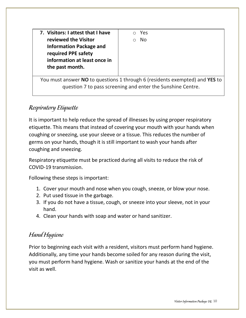**7. Visitors: I attest that I have reviewed the Visitor Information Package and required PPE safety information at least once in the past month.**

o Yes o No

You must answer **NO** to questions 1 through 6 (residents exempted) and **YES** to question 7 to pass screening and enter the Sunshine Centre.

## Respiratory Etiquette

It is important to help reduce the spread of illnesses by using proper respiratory etiquette. This means that instead of covering your mouth with your hands when coughing or sneezing, use your sleeve or a tissue. This reduces the number of germs on your hands, though it is still important to wash your hands after coughing and sneezing.

Respiratory etiquette must be practiced during all visits to reduce the risk of COVID-19 transmission.

Following these steps is important:

- 1. Cover your mouth and nose when you cough, sneeze, or blow your nose.
- 2. Put used tissue in the garbage.
- 3. If you do not have a tissue, cough, or sneeze into your sleeve, not in your hand.
- 4. Clean your hands with soap and water or hand sanitizer.

## Hand Hygiene

Prior to beginning each visit with a resident, visitors must perform hand hygiene. Additionally, any time your hands become soiled for any reason during the visit, you must perform hand hygiene. Wash or sanitize your hands at the end of the visit as well.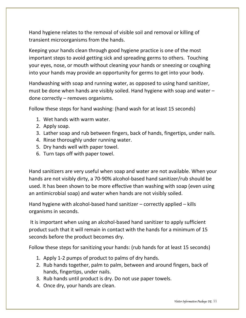Hand hygiene relates to the removal of visible soil and removal or killing of transient microorganisms from the hands.

Keeping your hands clean through good hygiene practice is one of the most important steps to avoid getting sick and spreading germs to others. Touching your eyes, nose, or mouth without cleaning your hands or sneezing or coughing into your hands may provide an opportunity for germs to get into your body.

Handwashing with soap and running water, as opposed to using hand sanitizer, must be done when hands are visibly soiled. Hand hygiene with soap and water – done correctly – removes organisms.

Follow these steps for hand washing: (hand wash for at least 15 seconds)

- 1. Wet hands with warm water.
- 2. Apply soap.
- 3. Lather soap and rub between fingers, back of hands, fingertips, under nails.
- 4. Rinse thoroughly under running water.
- 5. Dry hands well with paper towel.
- 6. Turn taps off with paper towel.

Hand sanitizers are very useful when soap and water are not available. When your hands are not visibly dirty, a 70-90% alcohol-based hand sanitizer/rub should be used. It has been shown to be more effective than washing with soap (even using an antimicrobial soap) and water when hands are not visibly soiled.

Hand hygiene with alcohol-based hand sanitizer – correctly applied – kills organisms in seconds.

It is important when using an alcohol-based hand sanitizer to apply sufficient product such that it will remain in contact with the hands for a minimum of 15 seconds before the product becomes dry.

Follow these steps for sanitizing your hands: (rub hands for at least 15 seconds)

- 1. Apply 1-2 pumps of product to palms of dry hands.
- 2. Rub hands together, palm to palm, between and around fingers, back of hands, fingertips, under nails.
- 3. Rub hands until product is dry. Do not use paper towels.
- 4. Once dry, your hands are clean.